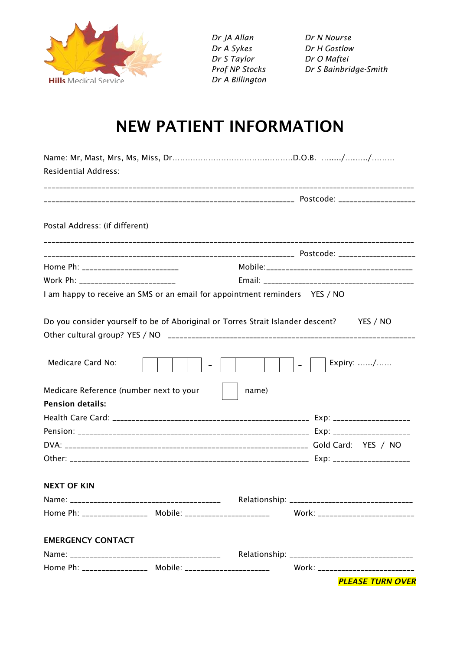

*Dr JA Allan Dr N Nourse Dr A Sykes Dr H Gostlow Dr S Taylor Dr O Maftei Dr A Billington*

*Prof NP Stocks Dr S Bainbridge-Smith*

## NEW PATIENT INFORMATION

| <b>Residential Address:</b>                                |                                                                                          |
|------------------------------------------------------------|------------------------------------------------------------------------------------------|
|                                                            |                                                                                          |
| Postal Address: (if different)                             |                                                                                          |
|                                                            |                                                                                          |
| Home Ph: __________________________                        |                                                                                          |
| Work Ph: __________________________                        |                                                                                          |
|                                                            | I am happy to receive an SMS or an email for appointment reminders YES / NO              |
|                                                            | Do you consider yourself to be of Aboriginal or Torres Strait Islander descent? YES / NO |
|                                                            |                                                                                          |
| Medicare Card No:                                          | Expiry: /<br>$\sim$ $\sim$ $\sim$ $\sim$                                                 |
| Medicare Reference (number next to your                    | name)                                                                                    |
| <b>Pension details:</b>                                    |                                                                                          |
|                                                            |                                                                                          |
|                                                            |                                                                                          |
|                                                            |                                                                                          |
|                                                            |                                                                                          |
| <b>NEXT OF KIN</b>                                         |                                                                                          |
|                                                            |                                                                                          |
| Home Ph: _________________ Mobile: ______________________  | Work: __________________________                                                         |
| <b>EMERGENCY CONTACT</b>                                   |                                                                                          |
|                                                            |                                                                                          |
| Home Ph: __________________ Mobile: ______________________ | Work: __________________________                                                         |
|                                                            | <b>PLEASE TURN OVER</b>                                                                  |